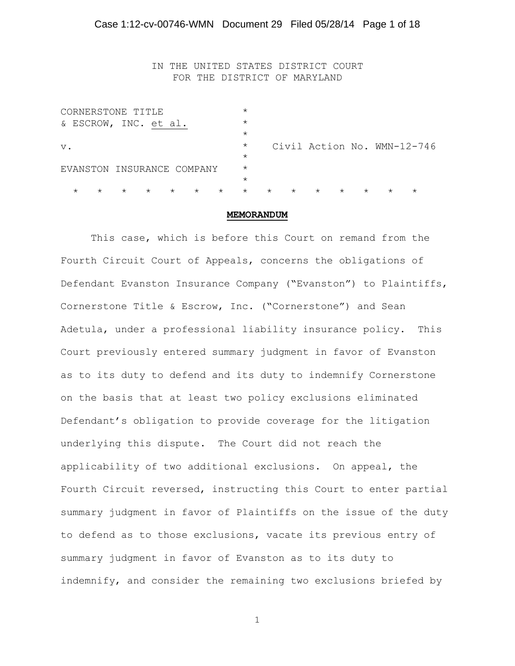IN THE UNITED STATES DISTRICT COURT FOR THE DISTRICT OF MARYLAND

| CORNERSTONE TITLE                                   | $\star$ |         |         |                    |         |                             |  |
|-----------------------------------------------------|---------|---------|---------|--------------------|---------|-----------------------------|--|
| & ESCROW, INC. et al.                               | $\star$ |         |         |                    |         |                             |  |
|                                                     | $\star$ |         |         |                    |         |                             |  |
| $V$ .                                               | $\star$ |         |         |                    |         | Civil Action No. WMN-12-746 |  |
|                                                     | $\star$ |         |         |                    |         |                             |  |
| EVANSTON INSURANCE COMPANY                          | $\star$ |         |         |                    |         |                             |  |
|                                                     | $\star$ |         |         |                    |         |                             |  |
| $\star$<br>$\star$<br>$\star$<br>$\star$<br>$\star$ | $\star$ | $\star$ | $\star$ | $\star$<br>$\star$ | $\star$ |                             |  |

#### **MEMORANDUM**

This case, which is before this Court on remand from the Fourth Circuit Court of Appeals, concerns the obligations of Defendant Evanston Insurance Company ("Evanston") to Plaintiffs, Cornerstone Title & Escrow, Inc. ("Cornerstone") and Sean Adetula, under a professional liability insurance policy. This Court previously entered summary judgment in favor of Evanston as to its duty to defend and its duty to indemnify Cornerstone on the basis that at least two policy exclusions eliminated Defendant's obligation to provide coverage for the litigation underlying this dispute. The Court did not reach the applicability of two additional exclusions. On appeal, the Fourth Circuit reversed, instructing this Court to enter partial summary judgment in favor of Plaintiffs on the issue of the duty to defend as to those exclusions, vacate its previous entry of summary judgment in favor of Evanston as to its duty to indemnify, and consider the remaining two exclusions briefed by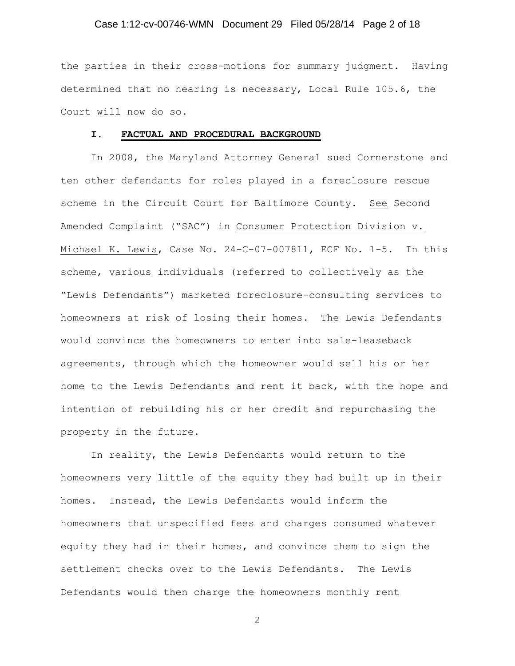## Case 1:12-cv-00746-WMN Document 29 Filed 05/28/14 Page 2 of 18

the parties in their cross-motions for summary judgment. Having determined that no hearing is necessary, Local Rule 105.6, the Court will now do so.

#### **I. FACTUAL AND PROCEDURAL BACKGROUND**

In 2008, the Maryland Attorney General sued Cornerstone and ten other defendants for roles played in a foreclosure rescue scheme in the Circuit Court for Baltimore County. See Second Amended Complaint ("SAC") in Consumer Protection Division v. Michael K. Lewis, Case No. 24-C-07-007811, ECF No. 1-5. In this scheme, various individuals (referred to collectively as the "Lewis Defendants") marketed foreclosure-consulting services to homeowners at risk of losing their homes. The Lewis Defendants would convince the homeowners to enter into sale-leaseback agreements, through which the homeowner would sell his or her home to the Lewis Defendants and rent it back, with the hope and intention of rebuilding his or her credit and repurchasing the property in the future.

In reality, the Lewis Defendants would return to the homeowners very little of the equity they had built up in their homes. Instead, the Lewis Defendants would inform the homeowners that unspecified fees and charges consumed whatever equity they had in their homes, and convince them to sign the settlement checks over to the Lewis Defendants. The Lewis Defendants would then charge the homeowners monthly rent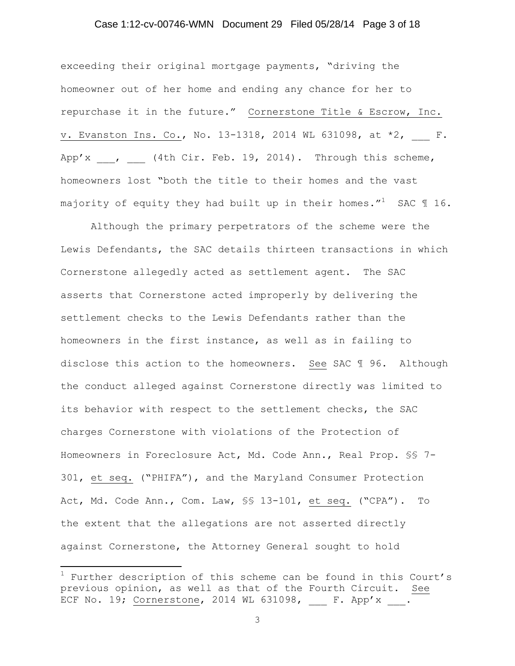## Case 1:12-cv-00746-WMN Document 29 Filed 05/28/14 Page 3 of 18

exceeding their original mortgage payments, "driving the homeowner out of her home and ending any chance for her to repurchase it in the future." Cornerstone Title & Escrow, Inc. v. Evanston Ins. Co., No. 13-1318, 2014 WL 631098, at  $*2$ , F. App'x  $\blacksquare$ , (4th Cir. Feb. 19, 2014). Through this scheme, homeowners lost "both the title to their homes and the vast majority of equity they had built up in their homes."<sup>1</sup> SAC 116.

Although the primary perpetrators of the scheme were the Lewis Defendants, the SAC details thirteen transactions in which Cornerstone allegedly acted as settlement agent. The SAC asserts that Cornerstone acted improperly by delivering the settlement checks to the Lewis Defendants rather than the homeowners in the first instance, as well as in failing to disclose this action to the homeowners. See SAC ¶ 96. Although the conduct alleged against Cornerstone directly was limited to its behavior with respect to the settlement checks, the SAC charges Cornerstone with violations of the Protection of Homeowners in Foreclosure Act, Md. Code Ann., Real Prop. §§ 7- 301, et seq. ("PHIFA"), and the Maryland Consumer Protection Act, Md. Code Ann., Com. Law, §§ 13-101, et seq. ("CPA"). To the extent that the allegations are not asserted directly against Cornerstone, the Attorney General sought to hold

 $\overline{\phantom{a}}$ 

 $1$  Further description of this scheme can be found in this Court's previous opinion, as well as that of the Fourth Circuit. See ECF No. 19; Cornerstone, 2014 WL 631098, \_\_\_ F. App'x \_\_\_.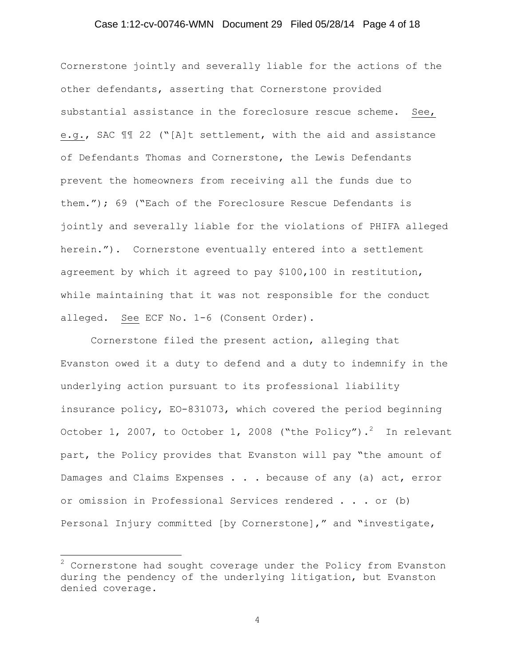## Case 1:12-cv-00746-WMN Document 29 Filed 05/28/14 Page 4 of 18

Cornerstone jointly and severally liable for the actions of the other defendants, asserting that Cornerstone provided substantial assistance in the foreclosure rescue scheme. See, e.g., SAC ¶¶ 22 ("[A]t settlement, with the aid and assistance of Defendants Thomas and Cornerstone, the Lewis Defendants prevent the homeowners from receiving all the funds due to them."); 69 ("Each of the Foreclosure Rescue Defendants is jointly and severally liable for the violations of PHIFA alleged herein."). Cornerstone eventually entered into a settlement agreement by which it agreed to pay \$100,100 in restitution, while maintaining that it was not responsible for the conduct alleged. See ECF No. 1-6 (Consent Order).

Cornerstone filed the present action, alleging that Evanston owed it a duty to defend and a duty to indemnify in the underlying action pursuant to its professional liability insurance policy, EO-831073, which covered the period beginning October 1, 2007, to October 1, 2008 ("the Policy"). $^2$  In relevant part, the Policy provides that Evanston will pay "the amount of Damages and Claims Expenses . . . because of any (a) act, error or omission in Professional Services rendered . . . or (b) Personal Injury committed [by Cornerstone]," and "investigate,

l

 $2$  Cornerstone had sought coverage under the Policy from Evanston during the pendency of the underlying litigation, but Evanston denied coverage.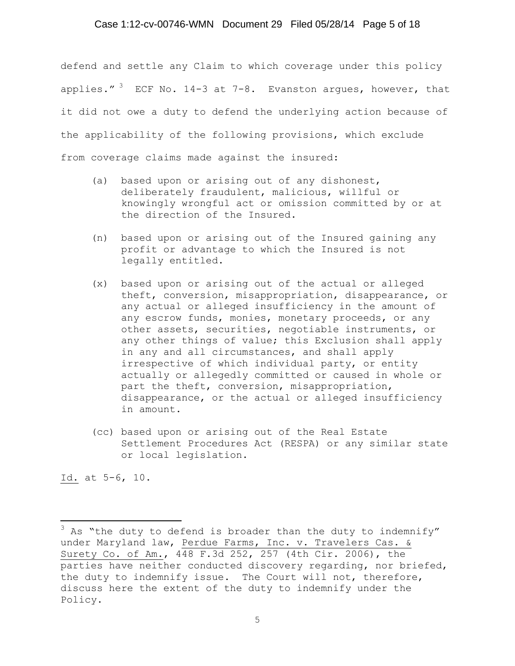## Case 1:12-cv-00746-WMN Document 29 Filed 05/28/14 Page 5 of 18

defend and settle any Claim to which coverage under this policy applies."  $3$  ECF No. 14-3 at 7-8. Evanston argues, however, that it did not owe a duty to defend the underlying action because of the applicability of the following provisions, which exclude from coverage claims made against the insured:

- (a) based upon or arising out of any dishonest, deliberately fraudulent, malicious, willful or knowingly wrongful act or omission committed by or at the direction of the Insured.
- (n) based upon or arising out of the Insured gaining any profit or advantage to which the Insured is not legally entitled.
- (x) based upon or arising out of the actual or alleged theft, conversion, misappropriation, disappearance, or any actual or alleged insufficiency in the amount of any escrow funds, monies, monetary proceeds, or any other assets, securities, negotiable instruments, or any other things of value; this Exclusion shall apply in any and all circumstances, and shall apply irrespective of which individual party, or entity actually or allegedly committed or caused in whole or part the theft, conversion, misappropriation, disappearance, or the actual or alleged insufficiency in amount.
- (cc) based upon or arising out of the Real Estate Settlement Procedures Act (RESPA) or any similar state or local legislation.

Id. at 5-6, 10.

 $\overline{\phantom{a}}$ 

 $3$  As "the duty to defend is broader than the duty to indemnify" under Maryland law, Perdue Farms, Inc. v. Travelers Cas. & Surety Co. of Am., 448 F.3d 252, 257 (4th Cir. 2006), the parties have neither conducted discovery regarding, nor briefed, the duty to indemnify issue. The Court will not, therefore, discuss here the extent of the duty to indemnify under the Policy.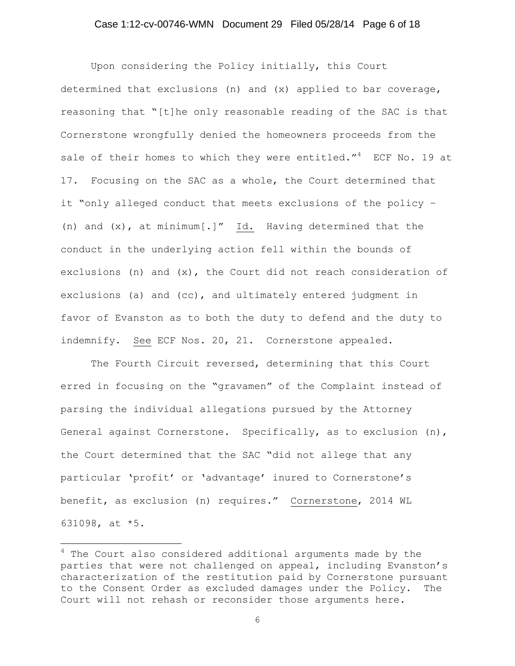## Case 1:12-cv-00746-WMN Document 29 Filed 05/28/14 Page 6 of 18

Upon considering the Policy initially, this Court determined that exclusions (n) and (x) applied to bar coverage, reasoning that "[t]he only reasonable reading of the SAC is that Cornerstone wrongfully denied the homeowners proceeds from the sale of their homes to which they were entitled." $4$  ECF No. 19 at 17. Focusing on the SAC as a whole, the Court determined that it "only alleged conduct that meets exclusions of the policy – (n) and (x), at minimum[.]" Id. Having determined that the conduct in the underlying action fell within the bounds of exclusions (n) and  $(x)$ , the Court did not reach consideration of exclusions (a) and (cc), and ultimately entered judgment in favor of Evanston as to both the duty to defend and the duty to indemnify. See ECF Nos. 20, 21. Cornerstone appealed.

The Fourth Circuit reversed, determining that this Court erred in focusing on the "gravamen" of the Complaint instead of parsing the individual allegations pursued by the Attorney General against Cornerstone. Specifically, as to exclusion (n), the Court determined that the SAC "did not allege that any particular 'profit' or 'advantage' inured to Cornerstone's benefit, as exclusion (n) requires." Cornerstone, 2014 WL 631098, at \*5.

 $\overline{a}$ 

 $4$  The Court also considered additional arguments made by the parties that were not challenged on appeal, including Evanston's characterization of the restitution paid by Cornerstone pursuant to the Consent Order as excluded damages under the Policy. The Court will not rehash or reconsider those arguments here.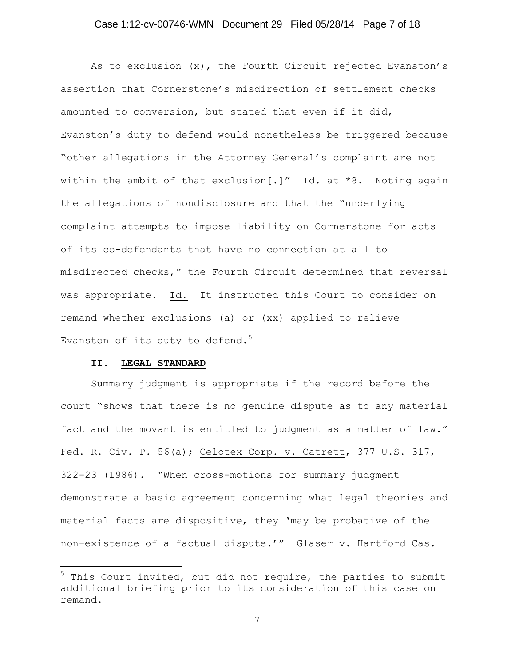## Case 1:12-cv-00746-WMN Document 29 Filed 05/28/14 Page 7 of 18

As to exclusion (x), the Fourth Circuit rejected Evanston's assertion that Cornerstone's misdirection of settlement checks amounted to conversion, but stated that even if it did, Evanston's duty to defend would nonetheless be triggered because "other allegations in the Attorney General's complaint are not within the ambit of that exclusion[.]" Id. at \*8. Noting again the allegations of nondisclosure and that the "underlying complaint attempts to impose liability on Cornerstone for acts of its co-defendants that have no connection at all to misdirected checks," the Fourth Circuit determined that reversal was appropriate. Id. It instructed this Court to consider on remand whether exclusions (a) or (xx) applied to relieve Evanston of its duty to defend. $5$ 

#### **II. LEGAL STANDARD**

 $\overline{\phantom{a}}$ 

Summary judgment is appropriate if the record before the court "shows that there is no genuine dispute as to any material fact and the movant is entitled to judgment as a matter of law." Fed. R. Civ. P. 56(a); Celotex Corp. v. Catrett, 377 U.S. 317, 322-23 (1986). "When cross-motions for summary judgment demonstrate a basic agreement concerning what legal theories and material facts are dispositive, they 'may be probative of the non-existence of a factual dispute.'" Glaser v. Hartford Cas.

 $5$  This Court invited, but did not require, the parties to submit additional briefing prior to its consideration of this case on remand.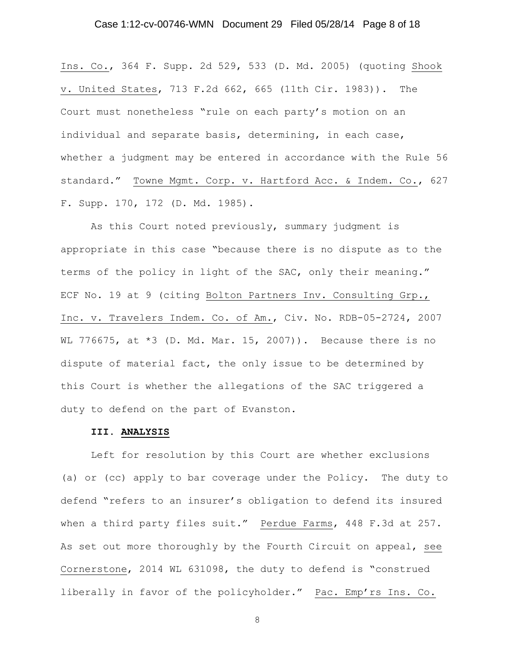## Case 1:12-cv-00746-WMN Document 29 Filed 05/28/14 Page 8 of 18

Ins. Co., 364 F. Supp. 2d 529, 533 (D. Md. 2005) (quoting Shook v. United States, 713 F.2d 662, 665 (11th Cir. 1983)). The Court must nonetheless "rule on each party's motion on an individual and separate basis, determining, in each case, whether a judgment may be entered in accordance with the Rule 56 standard." Towne Mgmt. Corp. v. Hartford Acc. & Indem. Co., 627 F. Supp. 170, 172 (D. Md. 1985).

As this Court noted previously, summary judgment is appropriate in this case "because there is no dispute as to the terms of the policy in light of the SAC, only their meaning." ECF No. 19 at 9 (citing Bolton Partners Inv. Consulting Grp., Inc. v. Travelers Indem. Co. of Am., Civ. No. RDB-05-2724, 2007 WL 776675, at  $*3$  (D. Md. Mar. 15, 2007)). Because there is no dispute of material fact, the only issue to be determined by this Court is whether the allegations of the SAC triggered a duty to defend on the part of Evanston.

## **III. ANALYSIS**

Left for resolution by this Court are whether exclusions (a) or (cc) apply to bar coverage under the Policy. The duty to defend "refers to an insurer's obligation to defend its insured when a third party files suit." Perdue Farms, 448 F.3d at 257. As set out more thoroughly by the Fourth Circuit on appeal, see Cornerstone, 2014 WL 631098, the duty to defend is "construed liberally in favor of the policyholder." Pac. Emp'rs Ins. Co.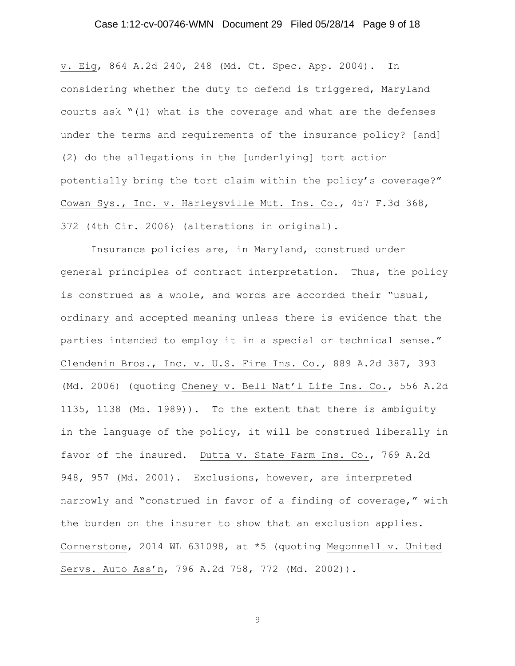## Case 1:12-cv-00746-WMN Document 29 Filed 05/28/14 Page 9 of 18

v. Eig, 864 A.2d 240, 248 (Md. Ct. Spec. App. 2004). In considering whether the duty to defend is triggered, Maryland courts ask "(1) what is the coverage and what are the defenses under the terms and requirements of the insurance policy? [and] (2) do the allegations in the [underlying] tort action potentially bring the tort claim within the policy's coverage?" Cowan Sys., Inc. v. Harleysville Mut. Ins. Co., 457 F.3d 368, 372 (4th Cir. 2006) (alterations in original).

Insurance policies are, in Maryland, construed under general principles of contract interpretation. Thus, the policy is construed as a whole, and words are accorded their "usual, ordinary and accepted meaning unless there is evidence that the parties intended to employ it in a special or technical sense." Clendenin Bros., Inc. v. U.S. Fire Ins. Co., 889 A.2d 387, 393 (Md. 2006) (quoting Cheney v. Bell Nat'l Life Ins. Co., 556 A.2d 1135, 1138 (Md. 1989)). To the extent that there is ambiguity in the language of the policy, it will be construed liberally in favor of the insured. Dutta v. State Farm Ins. Co., 769 A.2d 948, 957 (Md. 2001). Exclusions, however, are interpreted narrowly and "construed in favor of a finding of coverage," with the burden on the insurer to show that an exclusion applies. Cornerstone, 2014 WL 631098, at \*5 (quoting Megonnell v. United Servs. Auto Ass'n, 796 A.2d 758, 772 (Md. 2002)).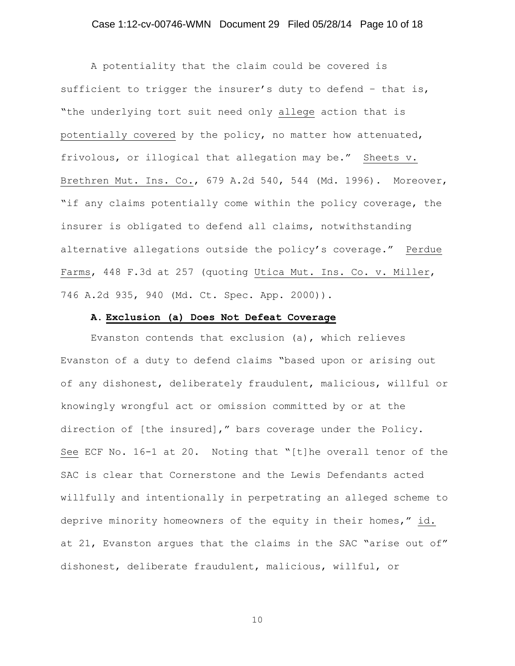## Case 1:12-cv-00746-WMN Document 29 Filed 05/28/14 Page 10 of 18

A potentiality that the claim could be covered is sufficient to trigger the insurer's duty to defend - that is, "the underlying tort suit need only allege action that is potentially covered by the policy, no matter how attenuated, frivolous, or illogical that allegation may be." Sheets v. Brethren Mut. Ins. Co., 679 A.2d 540, 544 (Md. 1996). Moreover, "if any claims potentially come within the policy coverage, the insurer is obligated to defend all claims, notwithstanding alternative allegations outside the policy's coverage." Perdue Farms, 448 F.3d at 257 (quoting Utica Mut. Ins. Co. v. Miller, 746 A.2d 935, 940 (Md. Ct. Spec. App. 2000)).

#### **A. Exclusion (a) Does Not Defeat Coverage**

Evanston contends that exclusion (a), which relieves Evanston of a duty to defend claims "based upon or arising out of any dishonest, deliberately fraudulent, malicious, willful or knowingly wrongful act or omission committed by or at the direction of [the insured]," bars coverage under the Policy. See ECF No. 16-1 at 20. Noting that "[t]he overall tenor of the SAC is clear that Cornerstone and the Lewis Defendants acted willfully and intentionally in perpetrating an alleged scheme to deprive minority homeowners of the equity in their homes," id. at 21, Evanston argues that the claims in the SAC "arise out of" dishonest, deliberate fraudulent, malicious, willful, or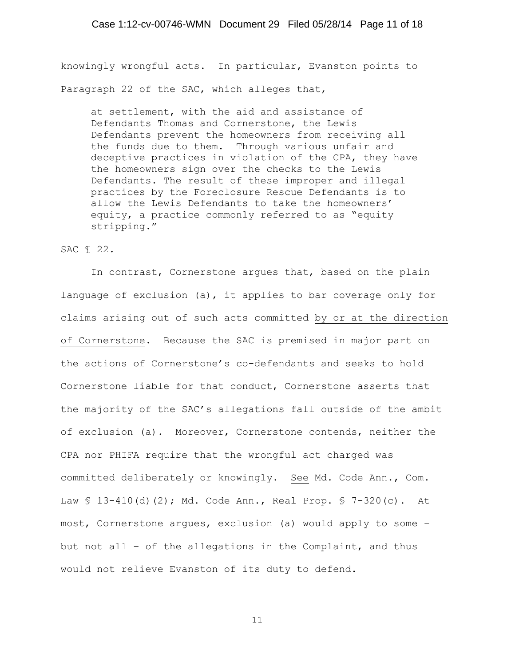knowingly wrongful acts. In particular, Evanston points to Paragraph 22 of the SAC, which alleges that,

at settlement, with the aid and assistance of Defendants Thomas and Cornerstone, the Lewis Defendants prevent the homeowners from receiving all the funds due to them. Through various unfair and deceptive practices in violation of the CPA, they have the homeowners sign over the checks to the Lewis Defendants. The result of these improper and illegal practices by the Foreclosure Rescue Defendants is to allow the Lewis Defendants to take the homeowners' equity, a practice commonly referred to as "equity stripping."

## SAC ¶ 22.

In contrast, Cornerstone argues that, based on the plain language of exclusion (a), it applies to bar coverage only for claims arising out of such acts committed by or at the direction of Cornerstone. Because the SAC is premised in major part on the actions of Cornerstone's co-defendants and seeks to hold Cornerstone liable for that conduct, Cornerstone asserts that the majority of the SAC's allegations fall outside of the ambit of exclusion (a). Moreover, Cornerstone contends, neither the CPA nor PHIFA require that the wrongful act charged was committed deliberately or knowingly. See Md. Code Ann., Com. Law § 13-410(d)(2); Md. Code Ann., Real Prop. § 7-320(c). At most, Cornerstone argues, exclusion (a) would apply to some – but not all – of the allegations in the Complaint, and thus would not relieve Evanston of its duty to defend.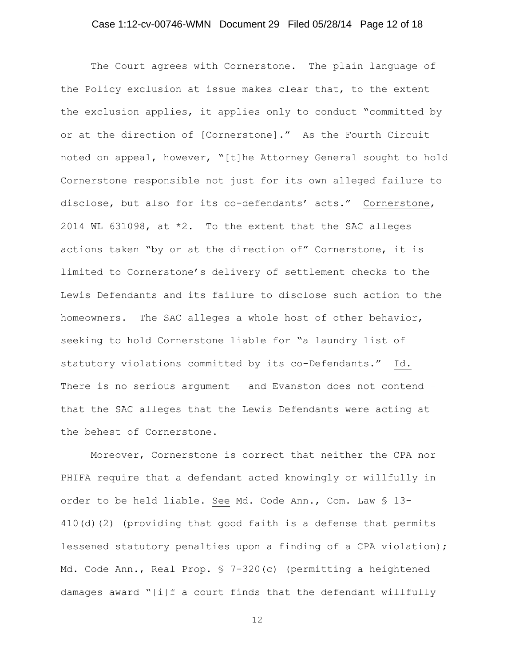## Case 1:12-cv-00746-WMN Document 29 Filed 05/28/14 Page 12 of 18

The Court agrees with Cornerstone. The plain language of the Policy exclusion at issue makes clear that, to the extent the exclusion applies, it applies only to conduct "committed by or at the direction of [Cornerstone]." As the Fourth Circuit noted on appeal, however, "[t]he Attorney General sought to hold Cornerstone responsible not just for its own alleged failure to disclose, but also for its co-defendants' acts." Cornerstone, 2014 WL 631098, at \*2. To the extent that the SAC alleges actions taken "by or at the direction of" Cornerstone, it is limited to Cornerstone's delivery of settlement checks to the Lewis Defendants and its failure to disclose such action to the homeowners. The SAC alleges a whole host of other behavior, seeking to hold Cornerstone liable for "a laundry list of statutory violations committed by its co-Defendants." Id. There is no serious argument – and Evanston does not contend – that the SAC alleges that the Lewis Defendants were acting at the behest of Cornerstone.

Moreover, Cornerstone is correct that neither the CPA nor PHIFA require that a defendant acted knowingly or willfully in order to be held liable. See Md. Code Ann., Com. Law § 13- 410(d)(2) (providing that good faith is a defense that permits lessened statutory penalties upon a finding of a CPA violation); Md. Code Ann., Real Prop. § 7-320(c) (permitting a heightened damages award "[i]f a court finds that the defendant willfully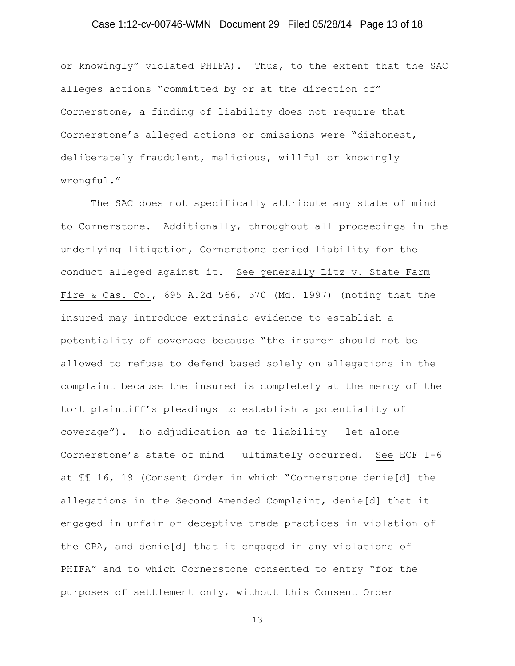## Case 1:12-cv-00746-WMN Document 29 Filed 05/28/14 Page 13 of 18

or knowingly" violated PHIFA). Thus, to the extent that the SAC alleges actions "committed by or at the direction of" Cornerstone, a finding of liability does not require that Cornerstone's alleged actions or omissions were "dishonest, deliberately fraudulent, malicious, willful or knowingly wrongful."

The SAC does not specifically attribute any state of mind to Cornerstone. Additionally, throughout all proceedings in the underlying litigation, Cornerstone denied liability for the conduct alleged against it. See generally Litz v. State Farm Fire & Cas. Co., 695 A.2d 566, 570 (Md. 1997) (noting that the insured may introduce extrinsic evidence to establish a potentiality of coverage because "the insurer should not be allowed to refuse to defend based solely on allegations in the complaint because the insured is completely at the mercy of the tort plaintiff's pleadings to establish a potentiality of coverage"). No adjudication as to liability – let alone Cornerstone's state of mind – ultimately occurred. See ECF 1-6 at ¶¶ 16, 19 (Consent Order in which "Cornerstone denie[d] the allegations in the Second Amended Complaint, denie[d] that it engaged in unfair or deceptive trade practices in violation of the CPA, and denie[d] that it engaged in any violations of PHIFA" and to which Cornerstone consented to entry "for the purposes of settlement only, without this Consent Order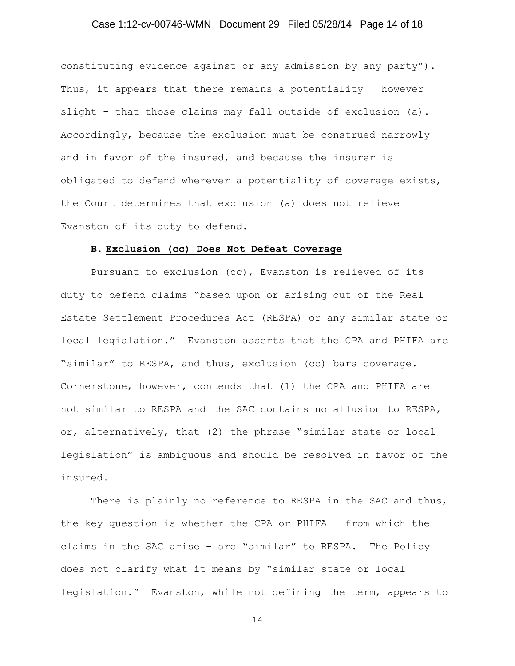## Case 1:12-cv-00746-WMN Document 29 Filed 05/28/14 Page 14 of 18

constituting evidence against or any admission by any party"). Thus, it appears that there remains a potentiality – however slight – that those claims may fall outside of exclusion (a). Accordingly, because the exclusion must be construed narrowly and in favor of the insured, and because the insurer is obligated to defend wherever a potentiality of coverage exists, the Court determines that exclusion (a) does not relieve Evanston of its duty to defend.

## **B. Exclusion (cc) Does Not Defeat Coverage**

Pursuant to exclusion (cc), Evanston is relieved of its duty to defend claims "based upon or arising out of the Real Estate Settlement Procedures Act (RESPA) or any similar state or local legislation." Evanston asserts that the CPA and PHIFA are "similar" to RESPA, and thus, exclusion (cc) bars coverage. Cornerstone, however, contends that (1) the CPA and PHIFA are not similar to RESPA and the SAC contains no allusion to RESPA, or, alternatively, that (2) the phrase "similar state or local legislation" is ambiguous and should be resolved in favor of the insured.

There is plainly no reference to RESPA in the SAC and thus, the key question is whether the CPA or PHIFA – from which the claims in the SAC arise – are "similar" to RESPA. The Policy does not clarify what it means by "similar state or local legislation." Evanston, while not defining the term, appears to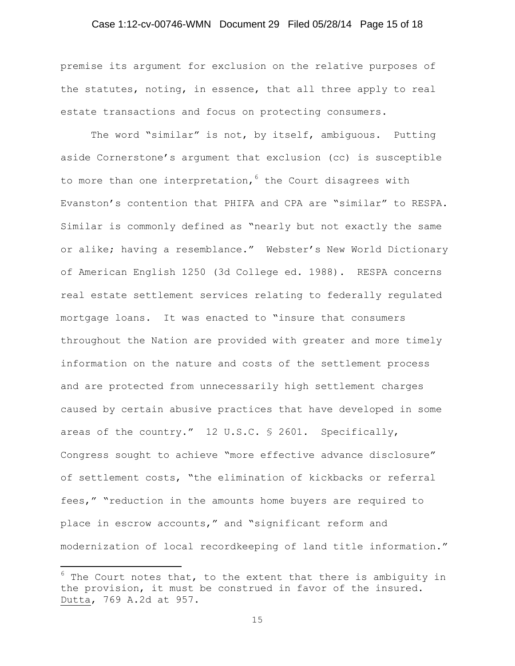## Case 1:12-cv-00746-WMN Document 29 Filed 05/28/14 Page 15 of 18

premise its argument for exclusion on the relative purposes of the statutes, noting, in essence, that all three apply to real estate transactions and focus on protecting consumers.

The word "similar" is not, by itself, ambiguous. Putting aside Cornerstone's argument that exclusion (cc) is susceptible to more than one interpretation,  $6$  the Court disagrees with Evanston's contention that PHIFA and CPA are "similar" to RESPA. Similar is commonly defined as "nearly but not exactly the same or alike; having a resemblance." Webster's New World Dictionary of American English 1250 (3d College ed. 1988). RESPA concerns real estate settlement services relating to federally regulated mortgage loans. It was enacted to "insure that consumers throughout the Nation are provided with greater and more timely information on the nature and costs of the settlement process and are protected from unnecessarily high settlement charges caused by certain abusive practices that have developed in some areas of the country." 12 U.S.C. § 2601. Specifically, Congress sought to achieve "more effective advance disclosure" of settlement costs, "the elimination of kickbacks or referral fees," "reduction in the amounts home buyers are required to place in escrow accounts," and "significant reform and modernization of local recordkeeping of land title information."

 $\overline{\phantom{a}}$ 

 $6$  The Court notes that, to the extent that there is ambiguity in the provision, it must be construed in favor of the insured. Dutta, 769 A.2d at 957.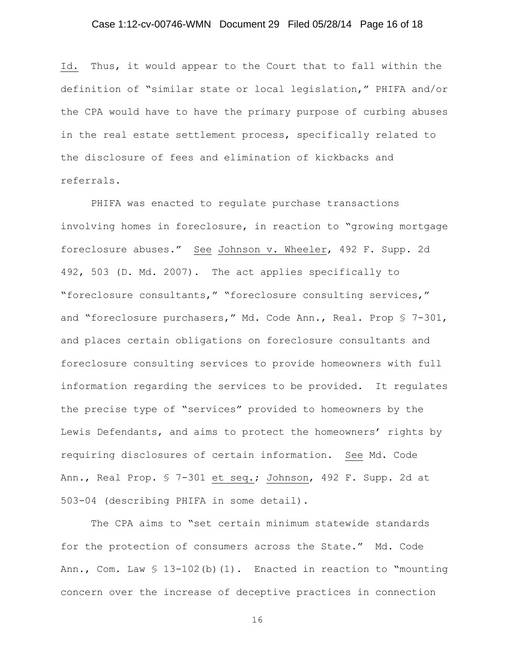## Case 1:12-cv-00746-WMN Document 29 Filed 05/28/14 Page 16 of 18

Id. Thus, it would appear to the Court that to fall within the definition of "similar state or local legislation," PHIFA and/or the CPA would have to have the primary purpose of curbing abuses in the real estate settlement process, specifically related to the disclosure of fees and elimination of kickbacks and referrals.

PHIFA was enacted to regulate purchase transactions involving homes in foreclosure, in reaction to "growing mortgage foreclosure abuses." See Johnson v. Wheeler, 492 F. Supp. 2d 492, 503 (D. Md. 2007). The act applies specifically to "foreclosure consultants," "foreclosure consulting services," and "foreclosure purchasers," Md. Code Ann., Real. Prop § 7-301, and places certain obligations on foreclosure consultants and foreclosure consulting services to provide homeowners with full information regarding the services to be provided. It regulates the precise type of "services" provided to homeowners by the Lewis Defendants, and aims to protect the homeowners' rights by requiring disclosures of certain information. See Md. Code Ann., Real Prop. § 7-301 et seq.; Johnson, 492 F. Supp. 2d at 503-04 (describing PHIFA in some detail).

The CPA aims to "set certain minimum statewide standards for the protection of consumers across the State." Md. Code Ann., Com. Law  $$ 13-102(b)(1)$ . Enacted in reaction to "mounting concern over the increase of deceptive practices in connection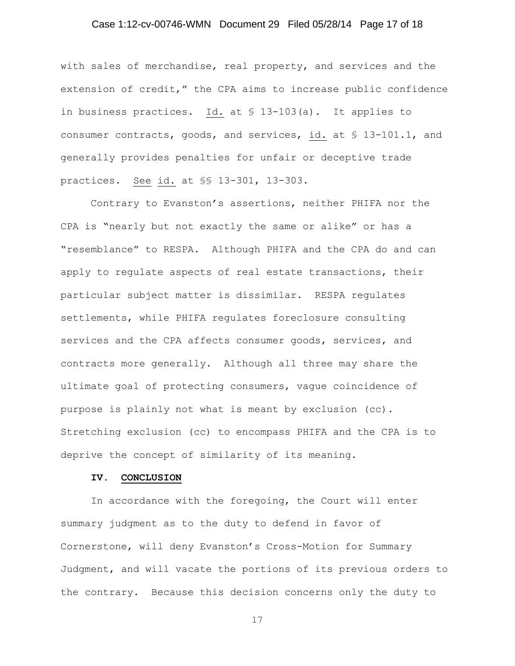## Case 1:12-cv-00746-WMN Document 29 Filed 05/28/14 Page 17 of 18

with sales of merchandise, real property, and services and the extension of credit," the CPA aims to increase public confidence in business practices. Id. at § 13-103(a). It applies to consumer contracts, goods, and services, id. at § 13-101.1, and generally provides penalties for unfair or deceptive trade practices. See id. at §§ 13-301, 13-303.

Contrary to Evanston's assertions, neither PHIFA nor the CPA is "nearly but not exactly the same or alike" or has a "resemblance" to RESPA. Although PHIFA and the CPA do and can apply to regulate aspects of real estate transactions, their particular subject matter is dissimilar. RESPA regulates settlements, while PHIFA regulates foreclosure consulting services and the CPA affects consumer goods, services, and contracts more generally. Although all three may share the ultimate goal of protecting consumers, vague coincidence of purpose is plainly not what is meant by exclusion (cc). Stretching exclusion (cc) to encompass PHIFA and the CPA is to deprive the concept of similarity of its meaning.

#### **IV. CONCLUSION**

In accordance with the foregoing, the Court will enter summary judgment as to the duty to defend in favor of Cornerstone, will deny Evanston's Cross-Motion for Summary Judgment, and will vacate the portions of its previous orders to the contrary. Because this decision concerns only the duty to